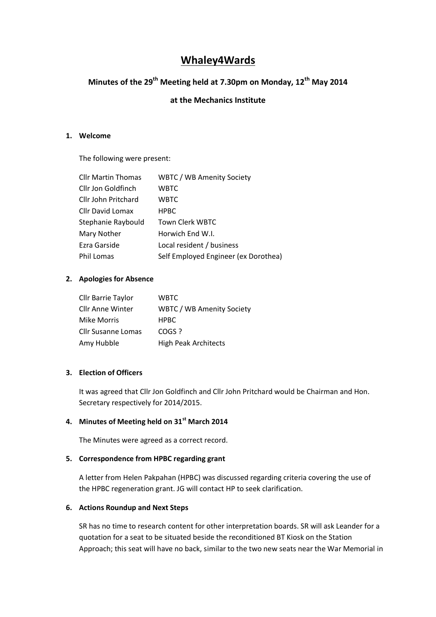# **Whaley4Wards**

# **Minutes of the 29th Meeting held at 7.30pm on Monday, 12th May 2014**

## **at the Mechanics Institute**

#### **1. Welcome**

The following were present:

| <b>Cllr Martin Thomas</b> | <b>WBTC / WB Amenity Society</b>     |
|---------------------------|--------------------------------------|
| Cllr Jon Goldfinch        | <b>WBTC</b>                          |
| Cllr John Pritchard       | <b>WBTC</b>                          |
| Cllr David Lomax          | <b>HPBC</b>                          |
| Stephanie Raybould        | <b>Town Clerk WBTC</b>               |
| <b>Mary Nother</b>        | Horwich End W.I.                     |
| Ezra Garside              | Local resident / business            |
| <b>Phil Lomas</b>         | Self Employed Engineer (ex Dorothea) |

### **2. Apologies for Absence**

| Cllr Barrie Taylor        | WBTC.                            |
|---------------------------|----------------------------------|
| Cllr Anne Winter          | <b>WBTC / WB Amenity Society</b> |
| Mike Morris               | <b>HPBC</b>                      |
| <b>Cllr Susanne Lomas</b> | COGS ?                           |
| Amy Hubble                | <b>High Peak Architects</b>      |

### **3. Election of Officers**

It was agreed that Cllr Jon Goldfinch and Cllr John Pritchard would be Chairman and Hon. Secretary respectively for 2014/2015.

# **4. Minutes of Meeting held on 31st March 2014**

The Minutes were agreed as a correct record.

#### **5. Correspondence from HPBC regarding grant**

A letter from Helen Pakpahan (HPBC) was discussed regarding criteria covering the use of the HPBC regeneration grant. JG will contact HP to seek clarification.

#### **6. Actions Roundup and Next Steps**

SR has no time to research content for other interpretation boards. SR will ask Leander for a quotation for a seat to be situated beside the reconditioned BT Kiosk on the Station Approach; this seat will have no back, similar to the two new seats near the War Memorial in